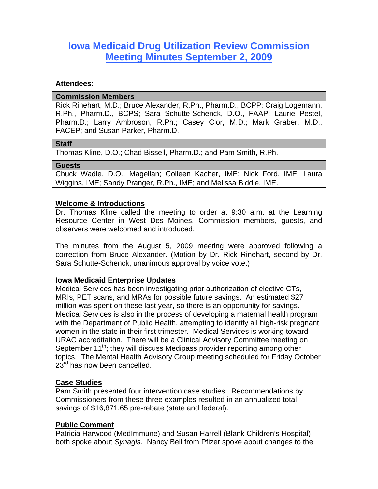# **Iowa Medicaid Drug Utilization Review Commission Meeting Minutes September 2, 2009**

#### **Attendees:**

#### **Commission Members**

Rick Rinehart, M.D.; Bruce Alexander, R.Ph., Pharm.D., BCPP; Craig Logemann, R.Ph., Pharm.D., BCPS; Sara Schutte-Schenck, D.O., FAAP; Laurie Pestel, Pharm.D.; Larry Ambroson, R.Ph.; Casey Clor, M.D.; Mark Graber, M.D., FACEP; and Susan Parker, Pharm.D.

## **Staff**

Thomas Kline, D.O.; Chad Bissell, Pharm.D.; and Pam Smith, R.Ph.

#### **Guests**

Chuck Wadle, D.O., Magellan; Colleen Kacher, IME; Nick Ford, IME; Laura Wiggins, IME; Sandy Pranger, R.Ph., IME; and Melissa Biddle, IME.

## **Welcome & Introductions**

Dr. Thomas Kline called the meeting to order at 9:30 a.m. at the Learning Resource Center in West Des Moines. Commission members, guests, and observers were welcomed and introduced.

The minutes from the August 5, 2009 meeting were approved following a correction from Bruce Alexander. (Motion by Dr. Rick Rinehart, second by Dr. Sara Schutte-Schenck, unanimous approval by voice vote.)

## **Iowa Medicaid Enterprise Updates**

Medical Services has been investigating prior authorization of elective CTs, MRIs, PET scans, and MRAs for possible future savings. An estimated \$27 million was spent on these last year, so there is an opportunity for savings. Medical Services is also in the process of developing a maternal health program with the Department of Public Health, attempting to identify all high-risk pregnant women in the state in their first trimester. Medical Services is working toward URAC accreditation. There will be a Clinical Advisory Committee meeting on September  $11^{th}$ ; they will discuss Medipass provider reporting among other topics. The Mental Health Advisory Group meeting scheduled for Friday October 23<sup>rd</sup> has now been cancelled.

## **Case Studies**

Pam Smith presented four intervention case studies. Recommendations by Commissioners from these three examples resulted in an annualized total savings of \$16,871.65 pre-rebate (state and federal).

## **Public Comment**

Patricia Harwood (MedImmune) and Susan Harrell (Blank Children's Hospital) both spoke about *Synagis*. Nancy Bell from Pfizer spoke about changes to the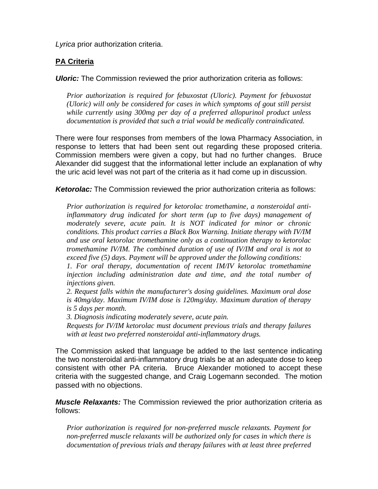*Lyrica* prior authorization criteria.

## **PA Criteria**

*Uloric:* The Commission reviewed the prior authorization criteria as follows:

*Prior authorization is required for febuxostat (Uloric). Payment for febuxostat (Uloric) will only be considered for cases in which symptoms of gout still persist while currently using 300mg per day of a preferred allopurinol product unless documentation is provided that such a trial would be medically contraindicated.* 

There were four responses from members of the Iowa Pharmacy Association, in response to letters that had been sent out regarding these proposed criteria. Commission members were given a copy, but had no further changes. Bruce Alexander did suggest that the informational letter include an explanation of why the uric acid level was not part of the criteria as it had come up in discussion.

*Ketorolac:* The Commission reviewed the prior authorization criteria as follows:

*Prior authorization is required for ketorolac tromethamine, a nonsteroidal antiinflammatory drug indicated for short term (up to five days) management of moderately severe, acute pain. It is NOT indicated for minor or chronic conditions. This product carries a Black Box Warning. Initiate therapy with IV/IM and use oral ketorolac tromethamine only as a continuation therapy to ketorolac tromethamine IV/IM. The combined duration of use of IV/IM and oral is not to exceed five (5) days. Payment will be approved under the following conditions:* 

*1. For oral therapy, documentation of recent IM/IV ketorolac tromethamine injection including administration date and time, and the total number of injections given.* 

*2. Request falls within the manufacturer's dosing guidelines. Maximum oral dose is 40mg/day. Maximum IV/IM dose is 120mg/day. Maximum duration of therapy is 5 days per month.* 

*3. Diagnosis indicating moderately severe, acute pain.* 

*Requests for IV/IM ketorolac must document previous trials and therapy failures with at least two preferred nonsteroidal anti-inflammatory drugs.* 

The Commission asked that language be added to the last sentence indicating the two nonsteroidal anti-inflammatory drug trials be at an adequate dose to keep consistent with other PA criteria. Bruce Alexander motioned to accept these criteria with the suggested change, and Craig Logemann seconded. The motion passed with no objections.

*Muscle Relaxants:* The Commission reviewed the prior authorization criteria as follows:

*Prior authorization is required for non-preferred muscle relaxants. Payment for non-preferred muscle relaxants will be authorized only for cases in which there is documentation of previous trials and therapy failures with at least three preferred*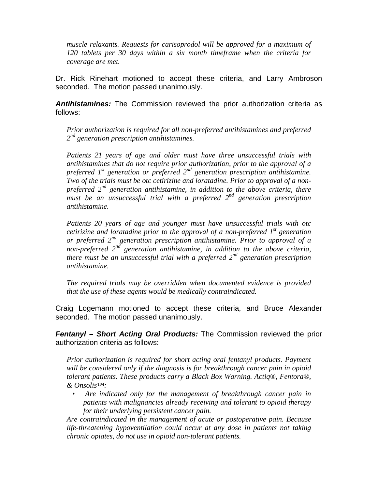*muscle relaxants. Requests for carisoprodol will be approved for a maximum of 120 tablets per 30 days within a six month timeframe when the criteria for coverage are met.* 

Dr. Rick Rinehart motioned to accept these criteria, and Larry Ambroson seconded. The motion passed unanimously.

*Antihistamines:* The Commission reviewed the prior authorization criteria as follows:

*Prior authorization is required for all non-preferred antihistamines and preferred 2nd generation prescription antihistamines.* 

*Patients 21 years of age and older must have three unsuccessful trials with antihistamines that do not require prior authorization, prior to the approval of a preferred 1st generation or preferred 2nd generation prescription antihistamine. Two of the trials must be otc cetirizine and loratadine. Prior to approval of a nonpreferred 2nd generation antihistamine, in addition to the above criteria, there must be an unsuccessful trial with a preferred 2nd generation prescription antihistamine.* 

*Patients 20 years of age and younger must have unsuccessful trials with otc cetirizine and loratadine prior to the approval of a non-preferred 1st generation or preferred 2nd generation prescription antihistamine. Prior to approval of a non-preferred 2nd generation antihistamine, in addition to the above criteria, there must be an unsuccessful trial with a preferred 2nd generation prescription antihistamine.* 

*The required trials may be overridden when documented evidence is provided that the use of these agents would be medically contraindicated.* 

Craig Logemann motioned to accept these criteria, and Bruce Alexander seconded. The motion passed unanimously.

*Fentanyl – Short Acting Oral Products:* The Commission reviewed the prior authorization criteria as follows:

*Prior authorization is required for short acting oral fentanyl products. Payment will be considered only if the diagnosis is for breakthrough cancer pain in opioid tolerant patients. These products carry a Black Box Warning. Actiq®, Fentora®, & Onsolis™:* 

*• Are indicated only for the management of breakthrough cancer pain in patients with malignancies already receiving and tolerant to opioid therapy for their underlying persistent cancer pain.* 

*Are contraindicated in the management of acute or postoperative pain. Because life-threatening hypoventilation could occur at any dose in patients not taking chronic opiates, do not use in opioid non-tolerant patients.*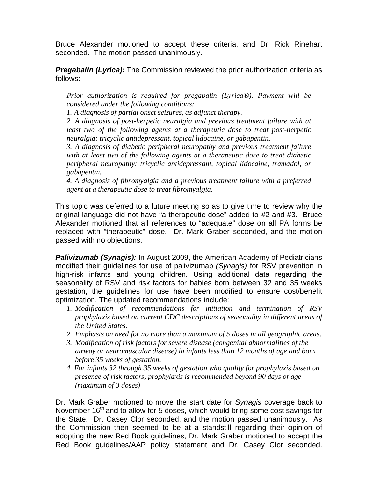Bruce Alexander motioned to accept these criteria, and Dr. Rick Rinehart seconded. The motion passed unanimously.

*Pregabalin (Lyrica):* The Commission reviewed the prior authorization criteria as follows:

*Prior authorization is required for pregabalin (Lyrica®). Payment will be considered under the following conditions:* 

*1. A diagnosis of partial onset seizures, as adjunct therapy.* 

*2. A diagnosis of post-herpetic neuralgia and previous treatment failure with at least two of the following agents at a therapeutic dose to treat post-herpetic neuralgia: tricyclic antidepressant, topical lidocaine, or gabapentin.* 

*3. A diagnosis of diabetic peripheral neuropathy and previous treatment failure with at least two of the following agents at a therapeutic dose to treat diabetic peripheral neuropathy: tricyclic antidepressant, topical lidocaine, tramadol, or gabapentin.* 

*4. A diagnosis of fibromyalgia and a previous treatment failure with a preferred agent at a therapeutic dose to treat fibromyalgia.* 

This topic was deferred to a future meeting so as to give time to review why the original language did not have "a therapeutic dose" added to #2 and #3. Bruce Alexander motioned that all references to "adequate" dose on all PA forms be replaced with "therapeutic" dose. Dr. Mark Graber seconded, and the motion passed with no objections.

*Palivizumab (Synagis):* In August 2009, the American Academy of Pediatricians modified their guidelines for use of palivizumab *(Synagis)* for RSV prevention in high-risk infants and young children. Using additional data regarding the seasonality of RSV and risk factors for babies born between 32 and 35 weeks gestation, the guidelines for use have been modified to ensure cost/benefit optimization. The updated recommendations include:

- *1. Modification of recommendations for initiation and termination of RSV prophylaxis based on current CDC descriptions of seasonality in different areas of the United States.*
- *2. Emphasis on need for no more than a maximum of 5 doses in all geographic areas.*
- *3. Modification of risk factors for severe disease (congenital abnormalities of the airway or neuromuscular disease) in infants less than 12 months of age and born before 35 weeks of gestation.*
- *4. For infants 32 through 35 weeks of gestation who qualify for prophylaxis based on presence of risk factors, prophylaxis is recommended beyond 90 days of age (maximum of 3 doses)*

Dr. Mark Graber motioned to move the start date for *Synagis* coverage back to November 16<sup>th</sup> and to allow for 5 doses, which would bring some cost savings for the State. Dr. Casey Clor seconded, and the motion passed unanimously. As the Commission then seemed to be at a standstill regarding their opinion of adopting the new Red Book guidelines, Dr. Mark Graber motioned to accept the Red Book guidelines/AAP policy statement and Dr. Casey Clor seconded.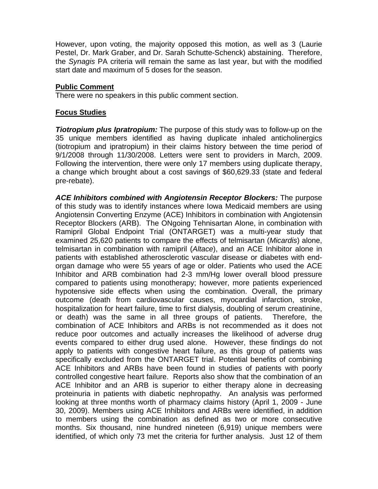However, upon voting, the majority opposed this motion, as well as 3 (Laurie Pestel, Dr. Mark Graber, and Dr. Sarah Schutte-Schenck) abstaining. Therefore, the *Synagis* PA criteria will remain the same as last year, but with the modified start date and maximum of 5 doses for the season.

## **Public Comment**

There were no speakers in this public comment section.

## **Focus Studies**

*Tiotropium plus Ipratropium:* The purpose of this study was to follow-up on the 35 unique members identified as having duplicate inhaled anticholinergics (tiotropium and ipratropium) in their claims history between the time period of 9/1/2008 through 11/30/2008. Letters were sent to providers in March, 2009. Following the intervention, there were only 17 members using duplicate therapy, a change which brought about a cost savings of \$60,629.33 (state and federal pre-rebate).

*ACE Inhibitors combined with Angiotensin Receptor Blockers:* The purpose of this study was to identify instances where Iowa Medicaid members are using Angiotensin Converting Enzyme (ACE) Inhibitors in combination with Angiotensin Receptor Blockers (ARB). The ONgoing Tehnisartan Alone, in combination with Ramipril Global Endpoint Trial (ONTARGET) was a multi-year study that examined 25,620 patients to compare the effects of telmisartan (*Micardis*) alone, telmisartan in combination with ramipril (*Altace*), and an ACE Inhibitor alone in patients with established atherosclerotic vascular disease or diabetes with endorgan damage who were 55 years of age or older. Patients who used the ACE Inhibitor and ARB combination had 2-3 mm/Hg lower overall blood pressure compared to patients using monotherapy; however, more patients experienced hypotensive side effects when using the combination. Overall, the primary outcome (death from cardiovascular causes, myocardial infarction, stroke, hospitalization for heart failure, time to first dialysis, doubling of serum creatinine, or death) was the same in all three groups of patients. Therefore, the combination of ACE Inhibitors and ARBs is not recommended as it does not reduce poor outcomes and actually increases the likelihood of adverse drug events compared to either drug used alone. However, these findings do not apply to patients with congestive heart failure, as this group of patients was specifically excluded from the ONTARGET trial. Potential benefits of combining ACE Inhibitors and ARBs have been found in studies of patients with poorly controlled congestive heart failure. Reports also show that the combination of an ACE Inhibitor and an ARB is superior to either therapy alone in decreasing proteinuria in patients with diabetic nephropathy. An analysis was performed looking at three months worth of pharmacy claims history (April 1, 2009 - June 30, 2009). Members using ACE Inhibitors and ARBs were identified, in addition to members using the combination as defined as two or more consecutive months. Six thousand, nine hundred nineteen (6,919) unique members were identified, of which only 73 met the criteria for further analysis. Just 12 of them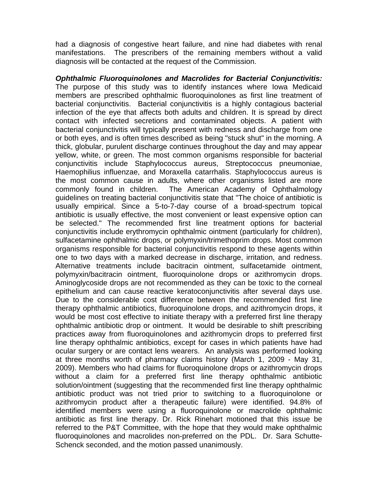had a diagnosis of congestive heart failure, and nine had diabetes with renal manifestations. The prescribers of the remaining members without a valid diagnosis will be contacted at the request of the Commission.

*Ophthalmic Fluoroquinolones and Macrolides for Bacterial Conjunctivitis:*  The purpose of this study was to identify instances where Iowa Medicaid members are prescribed ophthalmic fluoroquinolones as first line treatment of bacterial conjunctivitis. Bacterial conjunctivitis is a highly contagious bacterial infection of the eye that affects both adults and children. It is spread by direct contact with infected secretions and contaminated objects. A patient with bacterial conjunctivitis will typically present with redness and discharge from one or both eyes, and is often times described as being "stuck shut" in the morning. A thick, globular, purulent discharge continues throughout the day and may appear yellow, white, or green. The most common organisms responsible for bacterial conjunctivitis include Staphylococcus aureus, Streptococcus pneumoniae, Haemophilius influenzae, and Moraxella catarrhalis. Staphylococcus aureus is the most common cause in adults, where other organisms listed are more commonly found in children. The American Academy of Ophthalmology guidelines on treating bacterial conjunctivitis state that "The choice of antibiotic is usually empirical. Since a 5-to-7-day course of a broad-spectrum topical antibiotic is usually effective, the most convenient or least expensive option can be selected." The recommended first line treatment options for bacterial conjunctivitis include erythromycin ophthalmic ointment (particularly for children), sulfacetamine ophthalmic drops, or polymyxin/trimethoprim drops. Most common organisms responsible for bacterial conjunctivitis respond to these agents within one to two days with a marked decrease in discharge, irritation, and redness. Alternative treatments include bacitracin ointment, sulfacetamide ointment, polymyxin/bacitracin ointment, fluoroquinolone drops or azithromycin drops. Aminoglycoside drops are not recommended as they can be toxic to the corneal epithelium and can cause reactive keratoconjunctivitis after several days use. Due to the considerable cost difference between the recommended first line therapy ophthalmic antibiotics, fluoroquinolone drops, and azithromycin drops, it would be most cost effective to initiate therapy with a preferred first line therapy ophthalmic antibiotic drop or ointment. It would be desirable to shift prescribing practices away from fluoroquinolones and azithromycin drops to preferred first line therapy ophthalmic antibiotics, except for cases in which patients have had ocular surgery or are contact lens wearers. An analysis was performed looking at three months worth of pharmacy claims history (March 1, 2009 - May 31, 2009). Members who had claims for fluoroquinolone drops or azithromycin drops without a claim for a preferred first line therapy ophthalmic antibiotic solution/ointment (suggesting that the recommended first line therapy ophthalmic antibiotic product was not tried prior to switching to a fluoroquinolone or azithromycin product after a therapeutic failure) were identified. 94.8% of identified members were using a fluoroquinolone or macrolide ophthalmic antibiotic as first line therapy. Dr. Rick Rinehart motioned that this issue be referred to the P&T Committee, with the hope that they would make ophthalmic fluoroquinolones and macrolides non-preferred on the PDL. Dr. Sara Schutte-Schenck seconded, and the motion passed unanimously.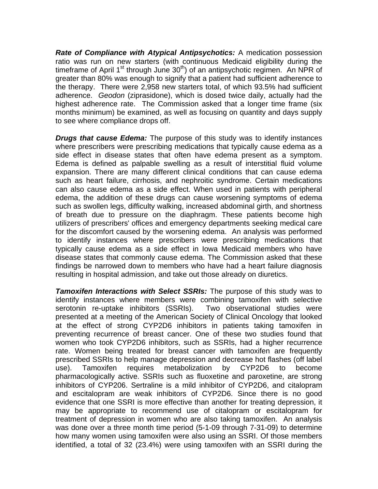*Rate of Compliance with Atypical Antipsychotics:* A medication possession ratio was run on new starters (with continuous Medicaid eligibility during the timeframe of April 1<sup>st</sup> through June  $30<sup>th</sup>$ ) of an antipsychotic regimen. An NPR of greater than 80% was enough to signify that a patient had sufficient adherence to the therapy. There were 2,958 new starters total, of which 93.5% had sufficient adherence. *Geodon* (ziprasidone), which is dosed twice daily, actually had the highest adherence rate. The Commission asked that a longer time frame (six months minimum) be examined, as well as focusing on quantity and days supply to see where compliance drops off.

*Drugs that cause Edema:* The purpose of this study was to identify instances where prescribers were prescribing medications that typically cause edema as a side effect in disease states that often have edema present as a symptom. Edema is defined as palpable swelling as a result of interstitial fluid volume expansion. There are many different clinical conditions that can cause edema such as heart failure, cirrhosis, and nephroitic syndrome. Certain medications can also cause edema as a side effect. When used in patients with peripheral edema, the addition of these drugs can cause worsening symptoms of edema such as swollen legs, difficulty walking, increased abdominal girth, and shortness of breath due to pressure on the diaphragm. These patients become high utilizers of prescribers' offices and emergency departments seeking medical care for the discomfort caused by the worsening edema. An analysis was performed to identify instances where prescribers were prescribing medications that typically cause edema as a side effect in Iowa Medicaid members who have disease states that commonly cause edema. The Commission asked that these findings be narrowed down to members who have had a heart failure diagnosis resulting in hospital admission, and take out those already on diuretics.

*Tamoxifen Interactions with Select SSRIs:* The purpose of this study was to identify instances where members were combining tamoxifen with selective serotonin re-uptake inhibitors (SSRIs). Two observational studies were presented at a meeting of the American Society of Clinical Oncology that looked at the effect of strong CYP2D6 inhibitors in patients taking tamoxifen in preventing recurrence of breast cancer. One of these two studies found that women who took CYP2D6 inhibitors, such as SSRIs, had a higher recurrence rate. Women being treated for breast cancer with tamoxifen are frequently prescribed SSRIs to help manage depression and decrease hot flashes (off label use). Tamoxifen requires metabolization by CYP2D6 to become pharmacologically active. SSRIs such as fluoxetine and paroxetine, are strong inhibitors of CYP206. Sertraline is a mild inhibitor of CYP2D6, and citalopram and escitalopram are weak inhibitors of CYP2D6. Since there is no good evidence that one SSRI is more effective than another for treating depression, it may be appropriate to recommend use of citalopram or escitalopram for treatment of depression in women who are also taking tamoxifen. An analysis was done over a three month time period (5-1-09 through 7-31-09) to determine how many women using tamoxifen were also using an SSRI. Of those members identified, a total of 32 (23.4%) were using tamoxifen with an SSRI during the